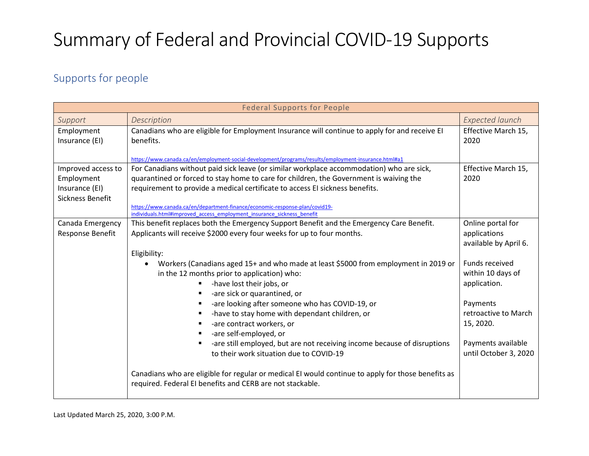#### Supports for people

| <b>Federal Supports for People</b>                                     |                                                                                                                                                                                                                                                                                                                                                                                                                                                                                                                                     |                                                            |
|------------------------------------------------------------------------|-------------------------------------------------------------------------------------------------------------------------------------------------------------------------------------------------------------------------------------------------------------------------------------------------------------------------------------------------------------------------------------------------------------------------------------------------------------------------------------------------------------------------------------|------------------------------------------------------------|
| Support                                                                | Description                                                                                                                                                                                                                                                                                                                                                                                                                                                                                                                         | <b>Expected launch</b>                                     |
| Employment<br>Insurance (EI)                                           | Canadians who are eligible for Employment Insurance will continue to apply for and receive EI<br>benefits.                                                                                                                                                                                                                                                                                                                                                                                                                          | Effective March 15,<br>2020                                |
| Improved access to<br>Employment<br>Insurance (EI)<br>Sickness Benefit | https://www.canada.ca/en/employment-social-development/programs/results/employment-insurance.html#a1<br>For Canadians without paid sick leave (or similar workplace accommodation) who are sick,<br>quarantined or forced to stay home to care for children, the Government is waiving the<br>requirement to provide a medical certificate to access EI sickness benefits.<br>https://www.canada.ca/en/department-finance/economic-response-plan/covid19-<br>individuals.html#improved access employment insurance sickness benefit | Effective March 15,<br>2020                                |
| Canada Emergency<br>Response Benefit                                   | This benefit replaces both the Emergency Support Benefit and the Emergency Care Benefit.<br>Applicants will receive \$2000 every four weeks for up to four months.<br>Eligibility:                                                                                                                                                                                                                                                                                                                                                  | Online portal for<br>applications<br>available by April 6. |
|                                                                        | Workers (Canadians aged 15+ and who made at least \$5000 from employment in 2019 or<br>in the 12 months prior to application) who:<br>-have lost their jobs, or<br>-are sick or quarantined, or                                                                                                                                                                                                                                                                                                                                     | Funds received<br>within 10 days of<br>application.        |
|                                                                        | -are looking after someone who has COVID-19, or<br>-have to stay home with dependant children, or<br>х<br>-are contract workers, or<br>-are self-employed, or                                                                                                                                                                                                                                                                                                                                                                       | Payments<br>retroactive to March<br>15, 2020.              |
|                                                                        | -are still employed, but are not receiving income because of disruptions<br>to their work situation due to COVID-19                                                                                                                                                                                                                                                                                                                                                                                                                 | Payments available<br>until October 3, 2020                |
|                                                                        | Canadians who are eligible for regular or medical EI would continue to apply for those benefits as<br>required. Federal EI benefits and CERB are not stackable.                                                                                                                                                                                                                                                                                                                                                                     |                                                            |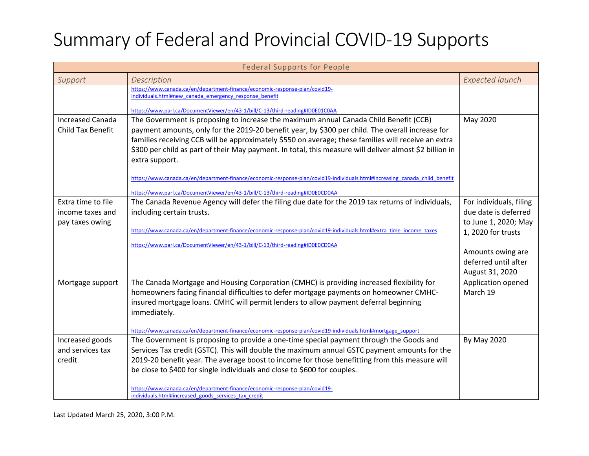| <b>Federal Supports for People</b>                  |                                                                                                                                                                                           |                                              |
|-----------------------------------------------------|-------------------------------------------------------------------------------------------------------------------------------------------------------------------------------------------|----------------------------------------------|
| Support                                             | Description                                                                                                                                                                               | <b>Expected launch</b>                       |
|                                                     | https://www.canada.ca/en/department-finance/economic-response-plan/covid19-<br>individuals.html#new canada emergency response benefit                                                     |                                              |
|                                                     | https://www.parl.ca/DocumentViewer/en/43-1/bill/C-13/third-reading#ID0E01C0AA                                                                                                             |                                              |
| <b>Increased Canada</b><br><b>Child Tax Benefit</b> | The Government is proposing to increase the maximum annual Canada Child Benefit (CCB)<br>payment amounts, only for the 2019-20 benefit year, by \$300 per child. The overall increase for | May 2020                                     |
|                                                     | families receiving CCB will be approximately \$550 on average; these families will receive an extra                                                                                       |                                              |
|                                                     | \$300 per child as part of their May payment. In total, this measure will deliver almost \$2 billion in<br>extra support.                                                                 |                                              |
|                                                     | https://www.canada.ca/en/department-finance/economic-response-plan/covid19-individuals.html#increasing canada child benefit                                                               |                                              |
|                                                     | https://www.parl.ca/DocumentViewer/en/43-1/bill/C-13/third-reading#ID0E0CD0AA                                                                                                             |                                              |
| Extra time to file                                  | The Canada Revenue Agency will defer the filing due date for the 2019 tax returns of individuals,                                                                                         | For individuals, filing                      |
| income taxes and<br>pay taxes owing                 | including certain trusts.                                                                                                                                                                 | due date is deferred<br>to June 1, 2020; May |
|                                                     | https://www.canada.ca/en/department-finance/economic-response-plan/covid19-individuals.html#extra_time_income_taxes                                                                       | 1, 2020 for trusts                           |
|                                                     | https://www.parl.ca/DocumentViewer/en/43-1/bill/C-13/third-reading#ID0E0CD0AA                                                                                                             |                                              |
|                                                     |                                                                                                                                                                                           | Amounts owing are                            |
|                                                     |                                                                                                                                                                                           | deferred until after                         |
|                                                     |                                                                                                                                                                                           | August 31, 2020                              |
| Mortgage support                                    | The Canada Mortgage and Housing Corporation (CMHC) is providing increased flexibility for                                                                                                 | Application opened                           |
|                                                     | homeowners facing financial difficulties to defer mortgage payments on homeowner CMHC-                                                                                                    | March 19                                     |
|                                                     | insured mortgage loans. CMHC will permit lenders to allow payment deferral beginning<br>immediately.                                                                                      |                                              |
|                                                     |                                                                                                                                                                                           |                                              |
|                                                     | https://www.canada.ca/en/department-finance/economic-response-plan/covid19-individuals.html#mortgage support                                                                              |                                              |
| Increased goods                                     | The Government is proposing to provide a one-time special payment through the Goods and                                                                                                   | By May 2020                                  |
| and services tax                                    | Services Tax credit (GSTC). This will double the maximum annual GSTC payment amounts for the                                                                                              |                                              |
| credit                                              | 2019-20 benefit year. The average boost to income for those benefitting from this measure will                                                                                            |                                              |
|                                                     | be close to \$400 for single individuals and close to \$600 for couples.                                                                                                                  |                                              |
|                                                     | https://www.canada.ca/en/department-finance/economic-response-plan/covid19-<br>individuals.html#increased goods services tax credit                                                       |                                              |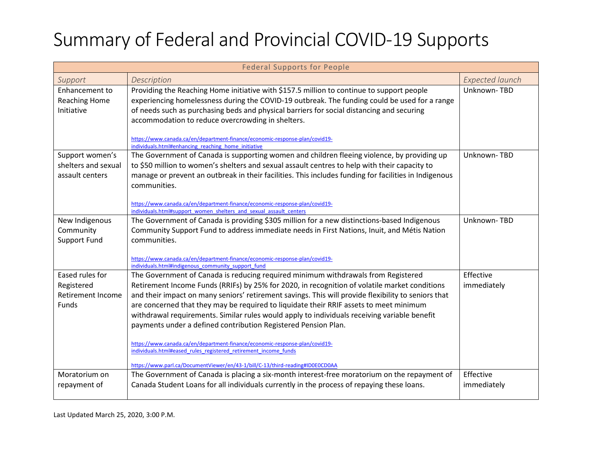| <b>Federal Supports for People</b>                                 |                                                                                                                                                                                                                                                                                                                                                                                                                                                                                                                                                                                                                                                                                                                                                                                          |                          |
|--------------------------------------------------------------------|------------------------------------------------------------------------------------------------------------------------------------------------------------------------------------------------------------------------------------------------------------------------------------------------------------------------------------------------------------------------------------------------------------------------------------------------------------------------------------------------------------------------------------------------------------------------------------------------------------------------------------------------------------------------------------------------------------------------------------------------------------------------------------------|--------------------------|
| Support                                                            | Description                                                                                                                                                                                                                                                                                                                                                                                                                                                                                                                                                                                                                                                                                                                                                                              | <b>Expected launch</b>   |
| Enhancement to<br><b>Reaching Home</b><br>Initiative               | Providing the Reaching Home initiative with \$157.5 million to continue to support people<br>experiencing homelessness during the COVID-19 outbreak. The funding could be used for a range<br>of needs such as purchasing beds and physical barriers for social distancing and securing<br>accommodation to reduce overcrowding in shelters.<br>https://www.canada.ca/en/department-finance/economic-response-plan/covid19-<br>individuals.html#enhancing reaching home initiative                                                                                                                                                                                                                                                                                                       | Unknown-TBD              |
| Support women's<br>shelters and sexual<br>assault centers          | The Government of Canada is supporting women and children fleeing violence, by providing up<br>to \$50 million to women's shelters and sexual assault centres to help with their capacity to<br>manage or prevent an outbreak in their facilities. This includes funding for facilities in Indigenous<br>communities.<br>https://www.canada.ca/en/department-finance/economic-response-plan/covid19-<br>individuals.html#support women shelters and sexual assault centers                                                                                                                                                                                                                                                                                                               | Unknown-TBD              |
| New Indigenous<br>Community<br><b>Support Fund</b>                 | The Government of Canada is providing \$305 million for a new distinctions-based Indigenous<br>Community Support Fund to address immediate needs in First Nations, Inuit, and Métis Nation<br>communities.<br>https://www.canada.ca/en/department-finance/economic-response-plan/covid19-<br>individuals.html#indigenous community support fund                                                                                                                                                                                                                                                                                                                                                                                                                                          | Unknown-TBD              |
| Eased rules for<br>Registered<br><b>Retirement Income</b><br>Funds | The Government of Canada is reducing required minimum withdrawals from Registered<br>Retirement Income Funds (RRIFs) by 25% for 2020, in recognition of volatile market conditions<br>and their impact on many seniors' retirement savings. This will provide flexibility to seniors that<br>are concerned that they may be required to liquidate their RRIF assets to meet minimum<br>withdrawal requirements. Similar rules would apply to individuals receiving variable benefit<br>payments under a defined contribution Registered Pension Plan.<br>https://www.canada.ca/en/department-finance/economic-response-plan/covid19-<br>individuals.html#eased rules registered retirement income funds<br>https://www.parl.ca/DocumentViewer/en/43-1/bill/C-13/third-reading#ID0E0CD0AA | Effective<br>immediately |
| Moratorium on<br>repayment of                                      | The Government of Canada is placing a six-month interest-free moratorium on the repayment of<br>Canada Student Loans for all individuals currently in the process of repaying these loans.                                                                                                                                                                                                                                                                                                                                                                                                                                                                                                                                                                                               | Effective<br>immediately |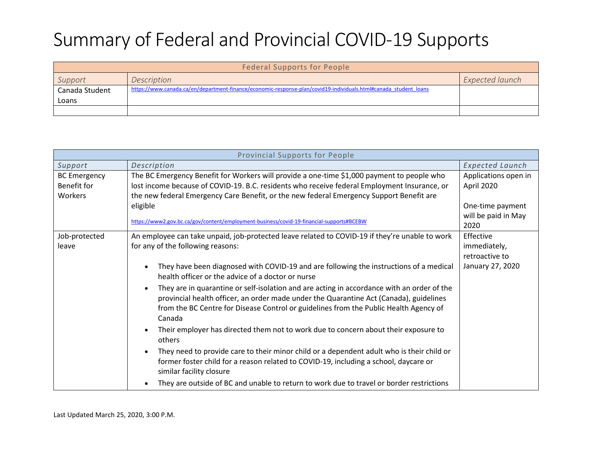| <b>Federal Supports for People</b> |                                                                                                                  |                 |
|------------------------------------|------------------------------------------------------------------------------------------------------------------|-----------------|
| Support                            | Description                                                                                                      | Expected launch |
| Canada Student                     | https://www.canada.ca/en/department-finance/economic-response-plan/covid19-individuals.html#canada student loans |                 |
| Loans                              |                                                                                                                  |                 |
|                                    |                                                                                                                  |                 |

| Provincial Supports for People |                                                                                                                                                                                                                                                                                         |                        |
|--------------------------------|-----------------------------------------------------------------------------------------------------------------------------------------------------------------------------------------------------------------------------------------------------------------------------------------|------------------------|
| Support                        | Description                                                                                                                                                                                                                                                                             | <b>Expected Launch</b> |
| <b>BC</b> Emergency            | The BC Emergency Benefit for Workers will provide a one-time \$1,000 payment to people who                                                                                                                                                                                              | Applications open in   |
| Benefit for                    | lost income because of COVID-19. B.C. residents who receive federal Employment Insurance, or                                                                                                                                                                                            | April 2020             |
| Workers                        | the new federal Emergency Care Benefit, or the new federal Emergency Support Benefit are                                                                                                                                                                                                |                        |
|                                | eligible                                                                                                                                                                                                                                                                                | One-time payment       |
|                                | https://www2.gov.bc.ca/gov/content/employment-business/covid-19-financial-supports#BCEBW                                                                                                                                                                                                | will be paid in May    |
|                                |                                                                                                                                                                                                                                                                                         | 2020                   |
| Job-protected                  | An employee can take unpaid, job-protected leave related to COVID-19 if they're unable to work                                                                                                                                                                                          | Effective              |
| leave                          | for any of the following reasons:                                                                                                                                                                                                                                                       | immediately,           |
|                                |                                                                                                                                                                                                                                                                                         | retroactive to         |
|                                | They have been diagnosed with COVID-19 and are following the instructions of a medical<br>health officer or the advice of a doctor or nurse                                                                                                                                             | January 27, 2020       |
|                                | They are in quarantine or self-isolation and are acting in accordance with an order of the<br>provincial health officer, an order made under the Quarantine Act (Canada), guidelines<br>from the BC Centre for Disease Control or guidelines from the Public Health Agency of<br>Canada |                        |
|                                | Their employer has directed them not to work due to concern about their exposure to<br>others                                                                                                                                                                                           |                        |
|                                | They need to provide care to their minor child or a dependent adult who is their child or<br>former foster child for a reason related to COVID-19, including a school, daycare or<br>similar facility closure                                                                           |                        |
|                                | They are outside of BC and unable to return to work due to travel or border restrictions                                                                                                                                                                                                |                        |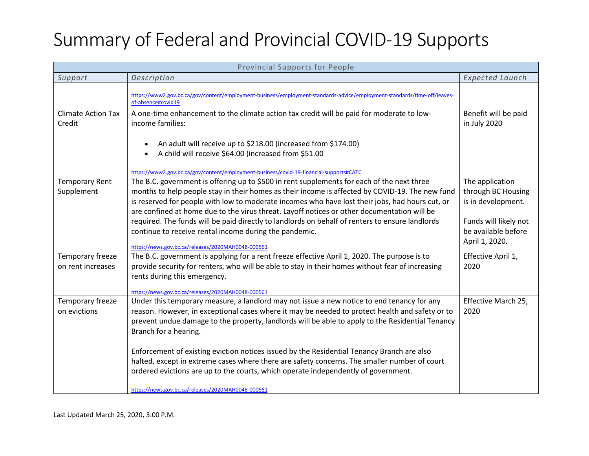| Provincial Supports for People        |                                                                                                                                                                                                                                                                                                                                                                                                                                                                                                                                                                                                                                                                      |                                                                                                                               |
|---------------------------------------|----------------------------------------------------------------------------------------------------------------------------------------------------------------------------------------------------------------------------------------------------------------------------------------------------------------------------------------------------------------------------------------------------------------------------------------------------------------------------------------------------------------------------------------------------------------------------------------------------------------------------------------------------------------------|-------------------------------------------------------------------------------------------------------------------------------|
| Support                               | Description                                                                                                                                                                                                                                                                                                                                                                                                                                                                                                                                                                                                                                                          | <b>Expected Launch</b>                                                                                                        |
|                                       | https://www2.gov.bc.ca/gov/content/employment-business/employment-standards-advice/employment-standards/time-off/leaves-<br>of-absence#covid19                                                                                                                                                                                                                                                                                                                                                                                                                                                                                                                       |                                                                                                                               |
| <b>Climate Action Tax</b><br>Credit   | A one-time enhancement to the climate action tax credit will be paid for moderate to low-<br>income families:                                                                                                                                                                                                                                                                                                                                                                                                                                                                                                                                                        | Benefit will be paid<br>in July 2020                                                                                          |
|                                       | An adult will receive up to \$218.00 (increased from \$174.00)<br>A child will receive \$64.00 (increased from \$51.00<br>https://www2.gov.bc.ca/gov/content/employment-business/covid-19-financial-supports#CATC                                                                                                                                                                                                                                                                                                                                                                                                                                                    |                                                                                                                               |
| <b>Temporary Rent</b><br>Supplement   | The B.C. government is offering up to \$500 in rent supplements for each of the next three<br>months to help people stay in their homes as their income is affected by COVID-19. The new fund<br>is reserved for people with low to moderate incomes who have lost their jobs, had hours cut, or<br>are confined at home due to the virus threat. Layoff notices or other documentation will be<br>required. The funds will be paid directly to landlords on behalf of renters to ensure landlords<br>continue to receive rental income during the pandemic.<br>https://news.gov.bc.ca/releases/2020MAH0048-000561                                                   | The application<br>through BC Housing<br>is in development.<br>Funds will likely not<br>be available before<br>April 1, 2020. |
| Temporary freeze<br>on rent increases | The B.C. government is applying for a rent freeze effective April 1, 2020. The purpose is to<br>provide security for renters, who will be able to stay in their homes without fear of increasing<br>rents during this emergency.<br>https://news.gov.bc.ca/releases/2020MAH0048-000561                                                                                                                                                                                                                                                                                                                                                                               | Effective April 1,<br>2020                                                                                                    |
| Temporary freeze<br>on evictions      | Under this temporary measure, a landlord may not issue a new notice to end tenancy for any<br>reason. However, in exceptional cases where it may be needed to protect health and safety or to<br>prevent undue damage to the property, landlords will be able to apply to the Residential Tenancy<br>Branch for a hearing.<br>Enforcement of existing eviction notices issued by the Residential Tenancy Branch are also<br>halted, except in extreme cases where there are safety concerns. The smaller number of court<br>ordered evictions are up to the courts, which operate independently of government.<br>https://news.gov.bc.ca/releases/2020MAH0048-000561 | Effective March 25,<br>2020                                                                                                   |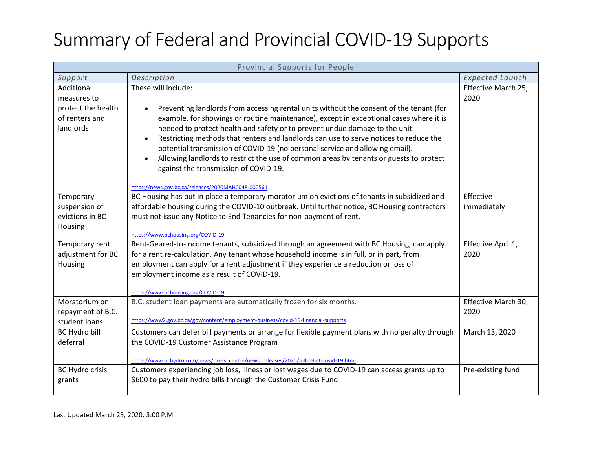| Provincial Supports for People                                                 |                                                                                                                                                                                                                                                                                                                                                                                                                                                                                                                                                                                                                                                                        |                             |
|--------------------------------------------------------------------------------|------------------------------------------------------------------------------------------------------------------------------------------------------------------------------------------------------------------------------------------------------------------------------------------------------------------------------------------------------------------------------------------------------------------------------------------------------------------------------------------------------------------------------------------------------------------------------------------------------------------------------------------------------------------------|-----------------------------|
| Support                                                                        | Description                                                                                                                                                                                                                                                                                                                                                                                                                                                                                                                                                                                                                                                            | <b>Expected Launch</b>      |
| Additional<br>measures to<br>protect the health<br>of renters and<br>landlords | These will include:<br>Preventing landlords from accessing rental units without the consent of the tenant (for<br>example, for showings or routine maintenance), except in exceptional cases where it is<br>needed to protect health and safety or to prevent undue damage to the unit.<br>Restricting methods that renters and landlords can use to serve notices to reduce the<br>$\bullet$<br>potential transmission of COVID-19 (no personal service and allowing email).<br>Allowing landlords to restrict the use of common areas by tenants or guests to protect<br>against the transmission of COVID-19.<br>https://news.gov.bc.ca/releases/2020MAH0048-000561 | Effective March 25,<br>2020 |
| Temporary<br>suspension of<br>evictions in BC<br>Housing                       | BC Housing has put in place a temporary moratorium on evictions of tenants in subsidized and<br>affordable housing during the COVID-10 outbreak. Until further notice, BC Housing contractors<br>must not issue any Notice to End Tenancies for non-payment of rent.<br>https://www.bchousing.org/COVID-19                                                                                                                                                                                                                                                                                                                                                             | Effective<br>immediately    |
| Temporary rent<br>adjustment for BC<br>Housing                                 | Rent-Geared-to-Income tenants, subsidized through an agreement with BC Housing, can apply<br>for a rent re-calculation. Any tenant whose household income is in full, or in part, from<br>employment can apply for a rent adjustment if they experience a reduction or loss of<br>employment income as a result of COVID-19.<br>https://www.bchousing.org/COVID-19                                                                                                                                                                                                                                                                                                     | Effective April 1,<br>2020  |
| Moratorium on<br>repayment of B.C.<br>student loans                            | B.C. student loan payments are automatically frozen for six months.<br>https://www2.gov.bc.ca/gov/content/employment-business/covid-19-financial-supports                                                                                                                                                                                                                                                                                                                                                                                                                                                                                                              | Effective March 30,<br>2020 |
| <b>BC Hydro bill</b><br>deferral                                               | Customers can defer bill payments or arrange for flexible payment plans with no penalty through<br>the COVID-19 Customer Assistance Program<br>https://www.bchydro.com/news/press_centre/news_releases/2020/bill-relief-covid-19.html                                                                                                                                                                                                                                                                                                                                                                                                                                  | March 13, 2020              |
| BC Hydro crisis<br>grants                                                      | Customers experiencing job loss, illness or lost wages due to COVID-19 can access grants up to<br>\$600 to pay their hydro bills through the Customer Crisis Fund                                                                                                                                                                                                                                                                                                                                                                                                                                                                                                      | Pre-existing fund           |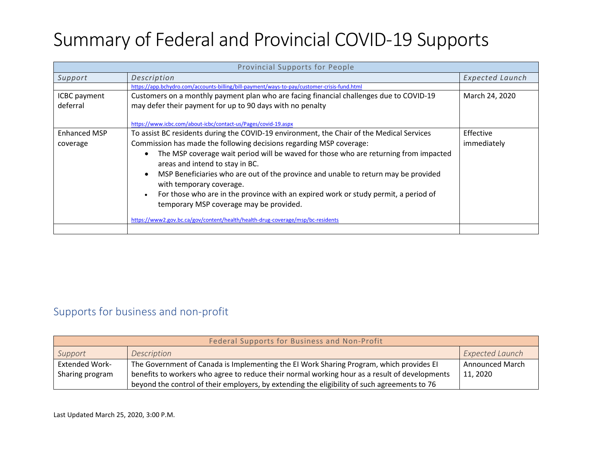| <b>Provincial Supports for People</b> |                                                                                                  |                        |
|---------------------------------------|--------------------------------------------------------------------------------------------------|------------------------|
| Support                               | Description                                                                                      | <b>Expected Launch</b> |
|                                       | https://app.bchydro.com/accounts-billing/bill-payment/ways-to-pay/customer-crisis-fund.html      |                        |
| ICBC payment                          | Customers on a monthly payment plan who are facing financial challenges due to COVID-19          | March 24, 2020         |
| deferral                              | may defer their payment for up to 90 days with no penalty                                        |                        |
|                                       |                                                                                                  |                        |
|                                       | https://www.icbc.com/about-icbc/contact-us/Pages/covid-19.aspx                                   |                        |
| <b>Enhanced MSP</b>                   | To assist BC residents during the COVID-19 environment, the Chair of the Medical Services        | Effective              |
| coverage                              | Commission has made the following decisions regarding MSP coverage:                              | immediately            |
|                                       | The MSP coverage wait period will be waved for those who are returning from impacted             |                        |
|                                       | areas and intend to stay in BC.                                                                  |                        |
|                                       | MSP Beneficiaries who are out of the province and unable to return may be provided<br>$\bullet$  |                        |
|                                       | with temporary coverage.                                                                         |                        |
|                                       | For those who are in the province with an expired work or study permit, a period of<br>$\bullet$ |                        |
|                                       | temporary MSP coverage may be provided.                                                          |                        |
|                                       |                                                                                                  |                        |
|                                       | https://www2.gov.bc.ca/gov/content/health/health-drug-coverage/msp/bc-residents                  |                        |
|                                       |                                                                                                  |                        |

#### Supports for business and non-profit

| Federal Supports for Business and Non-Profit |                                                                                               |                        |
|----------------------------------------------|-----------------------------------------------------------------------------------------------|------------------------|
| Support                                      | Description                                                                                   | <b>Expected Launch</b> |
| <b>Extended Work-</b>                        | The Government of Canada is Implementing the EI Work Sharing Program, which provides EI       | <b>Announced March</b> |
| Sharing program                              | benefits to workers who agree to reduce their normal working hour as a result of developments | 11, 2020               |
|                                              | beyond the control of their employers, by extending the eligibility of such agreements to 76  |                        |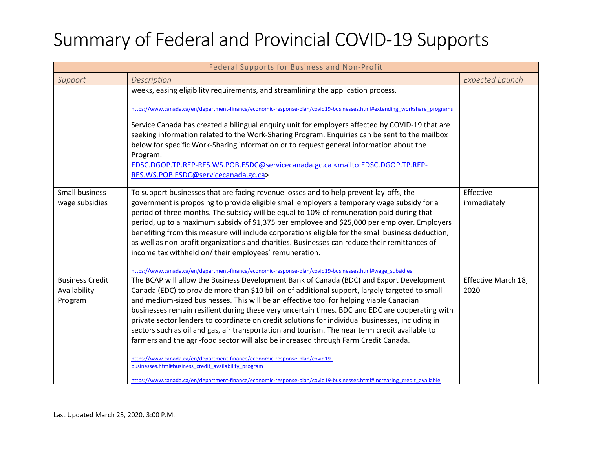| Federal Supports for Business and Non-Profit      |                                                                                                                                                                                                                                                                                                                                                                                                                                                                                                                                                                                                                                                                                                                                                                                                                                                                                                                                                         |                             |
|---------------------------------------------------|---------------------------------------------------------------------------------------------------------------------------------------------------------------------------------------------------------------------------------------------------------------------------------------------------------------------------------------------------------------------------------------------------------------------------------------------------------------------------------------------------------------------------------------------------------------------------------------------------------------------------------------------------------------------------------------------------------------------------------------------------------------------------------------------------------------------------------------------------------------------------------------------------------------------------------------------------------|-----------------------------|
| Support                                           | Description                                                                                                                                                                                                                                                                                                                                                                                                                                                                                                                                                                                                                                                                                                                                                                                                                                                                                                                                             | <b>Expected Launch</b>      |
|                                                   | weeks, easing eligibility requirements, and streamlining the application process.<br>https://www.canada.ca/en/department-finance/economic-response-plan/covid19-businesses.html#extending_workshare_programs<br>Service Canada has created a bilingual enquiry unit for employers affected by COVID-19 that are<br>seeking information related to the Work-Sharing Program. Enquiries can be sent to the mailbox<br>below for specific Work-Sharing information or to request general information about the<br>Program:<br>EDSC.DGOP.TP.REP-RES.WS.POB.ESDC@servicecanada.gc.ca <mailto:edsc.dgop.tp.rep-<br>RES.WS.POB.ESDC@servicecanada.gc.ca&gt;</mailto:edsc.dgop.tp.rep-<br>                                                                                                                                                                                                                                                                      |                             |
| Small business<br>wage subsidies                  | To support businesses that are facing revenue losses and to help prevent lay-offs, the<br>government is proposing to provide eligible small employers a temporary wage subsidy for a<br>period of three months. The subsidy will be equal to 10% of remuneration paid during that<br>period, up to a maximum subsidy of \$1,375 per employee and \$25,000 per employer. Employers<br>benefiting from this measure will include corporations eligible for the small business deduction,<br>as well as non-profit organizations and charities. Businesses can reduce their remittances of<br>income tax withheld on/ their employees' remuneration.<br>https://www.canada.ca/en/department-finance/economic-response-plan/covid19-businesses.html#wage_subsidies                                                                                                                                                                                          | Effective<br>immediately    |
| <b>Business Credit</b><br>Availability<br>Program | The BCAP will allow the Business Development Bank of Canada (BDC) and Export Development<br>Canada (EDC) to provide more than \$10 billion of additional support, largely targeted to small<br>and medium-sized businesses. This will be an effective tool for helping viable Canadian<br>businesses remain resilient during these very uncertain times. BDC and EDC are cooperating with<br>private sector lenders to coordinate on credit solutions for individual businesses, including in<br>sectors such as oil and gas, air transportation and tourism. The near term credit available to<br>farmers and the agri-food sector will also be increased through Farm Credit Canada.<br>https://www.canada.ca/en/department-finance/economic-response-plan/covid19-<br>businesses.html#business credit availability program<br>https://www.canada.ca/en/department-finance/economic-response-plan/covid19-businesses.html#Increasing credit available | Effective March 18,<br>2020 |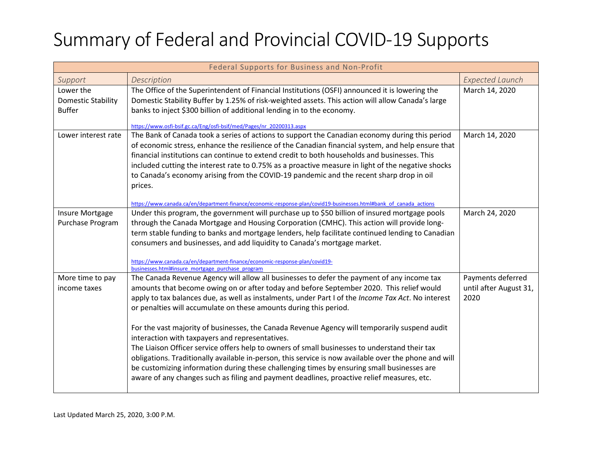| Federal Supports for Business and Non-Profit            |                                                                                                                                                                                                                                                                                                                                                                                                                                                                                                                                                                                                                                                                                                                                                                                                                                                                                                                             |                                                     |
|---------------------------------------------------------|-----------------------------------------------------------------------------------------------------------------------------------------------------------------------------------------------------------------------------------------------------------------------------------------------------------------------------------------------------------------------------------------------------------------------------------------------------------------------------------------------------------------------------------------------------------------------------------------------------------------------------------------------------------------------------------------------------------------------------------------------------------------------------------------------------------------------------------------------------------------------------------------------------------------------------|-----------------------------------------------------|
| Support                                                 | Description                                                                                                                                                                                                                                                                                                                                                                                                                                                                                                                                                                                                                                                                                                                                                                                                                                                                                                                 | <b>Expected Launch</b>                              |
| Lower the<br><b>Domestic Stability</b><br><b>Buffer</b> | The Office of the Superintendent of Financial Institutions (OSFI) announced it is lowering the<br>Domestic Stability Buffer by 1.25% of risk-weighted assets. This action will allow Canada's large<br>banks to inject \$300 billion of additional lending in to the economy.<br>https://www.osfi-bsif.gc.ca/Eng/osfi-bsif/med/Pages/nr_20200313.aspx                                                                                                                                                                                                                                                                                                                                                                                                                                                                                                                                                                       | March 14, 2020                                      |
| Lower interest rate                                     | The Bank of Canada took a series of actions to support the Canadian economy during this period<br>of economic stress, enhance the resilience of the Canadian financial system, and help ensure that<br>financial institutions can continue to extend credit to both households and businesses. This<br>included cutting the interest rate to 0.75% as a proactive measure in light of the negative shocks<br>to Canada's economy arising from the COVID-19 pandemic and the recent sharp drop in oil<br>prices.<br>https://www.canada.ca/en/department-finance/economic-response-plan/covid19-businesses.html#bank of canada actions                                                                                                                                                                                                                                                                                        | March 14, 2020                                      |
| Insure Mortgage<br>Purchase Program                     | Under this program, the government will purchase up to \$50 billion of insured mortgage pools<br>through the Canada Mortgage and Housing Corporation (CMHC). This action will provide long-<br>term stable funding to banks and mortgage lenders, help facilitate continued lending to Canadian<br>consumers and businesses, and add liquidity to Canada's mortgage market.<br>https://www.canada.ca/en/department-finance/economic-response-plan/covid19-<br>businesses.html#insure mortgage purchase program                                                                                                                                                                                                                                                                                                                                                                                                              | March 24, 2020                                      |
| More time to pay<br>income taxes                        | The Canada Revenue Agency will allow all businesses to defer the payment of any income tax<br>amounts that become owing on or after today and before September 2020. This relief would<br>apply to tax balances due, as well as instalments, under Part I of the Income Tax Act. No interest<br>or penalties will accumulate on these amounts during this period.<br>For the vast majority of businesses, the Canada Revenue Agency will temporarily suspend audit<br>interaction with taxpayers and representatives.<br>The Liaison Officer service offers help to owners of small businesses to understand their tax<br>obligations. Traditionally available in-person, this service is now available over the phone and will<br>be customizing information during these challenging times by ensuring small businesses are<br>aware of any changes such as filing and payment deadlines, proactive relief measures, etc. | Payments deferred<br>until after August 31,<br>2020 |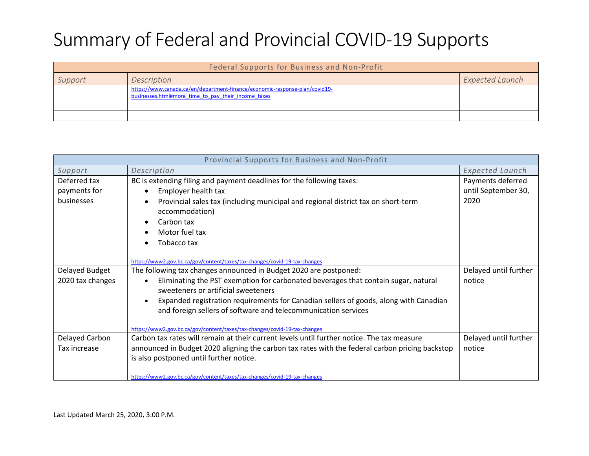| Federal Supports for Business and Non-Profit |                                                                                                                                    |                        |
|----------------------------------------------|------------------------------------------------------------------------------------------------------------------------------------|------------------------|
| Support                                      | Description                                                                                                                        | <b>Expected Launch</b> |
|                                              | https://www.canada.ca/en/department-finance/economic-response-plan/covid19-<br>businesses.html#more time to pay their income taxes |                        |
|                                              |                                                                                                                                    |                        |
|                                              |                                                                                                                                    |                        |

| Provincial Supports for Business and Non-Profit |                                                                                                                                        |                        |  |
|-------------------------------------------------|----------------------------------------------------------------------------------------------------------------------------------------|------------------------|--|
| Support                                         | Description                                                                                                                            | <b>Expected Launch</b> |  |
| Deferred tax                                    | BC is extending filing and payment deadlines for the following taxes:                                                                  | Payments deferred      |  |
| payments for                                    | Employer health tax<br>$\bullet$                                                                                                       | until September 30,    |  |
| businesses                                      | Provincial sales tax (including municipal and regional district tax on short-term<br>accommodation)                                    | 2020                   |  |
|                                                 | Carbon tax                                                                                                                             |                        |  |
|                                                 | Motor fuel tax                                                                                                                         |                        |  |
|                                                 | Tobacco tax                                                                                                                            |                        |  |
|                                                 |                                                                                                                                        |                        |  |
|                                                 | https://www2.gov.bc.ca/gov/content/taxes/tax-changes/covid-19-tax-changes                                                              |                        |  |
| Delayed Budget                                  | The following tax changes announced in Budget 2020 are postponed:                                                                      | Delayed until further  |  |
| 2020 tax changes                                | Eliminating the PST exemption for carbonated beverages that contain sugar, natural<br>$\bullet$<br>sweeteners or artificial sweeteners | notice                 |  |
|                                                 | Expanded registration requirements for Canadian sellers of goods, along with Canadian                                                  |                        |  |
|                                                 | and foreign sellers of software and telecommunication services                                                                         |                        |  |
|                                                 | https://www2.gov.bc.ca/gov/content/taxes/tax-changes/covid-19-tax-changes                                                              |                        |  |
| Delayed Carbon                                  | Carbon tax rates will remain at their current levels until further notice. The tax measure                                             | Delayed until further  |  |
| Tax increase                                    | announced in Budget 2020 aligning the carbon tax rates with the federal carbon pricing backstop                                        | notice                 |  |
|                                                 | is also postponed until further notice.                                                                                                |                        |  |
|                                                 |                                                                                                                                        |                        |  |
|                                                 | https://www2.gov.bc.ca/gov/content/taxes/tax-changes/covid-19-tax-changes                                                              |                        |  |